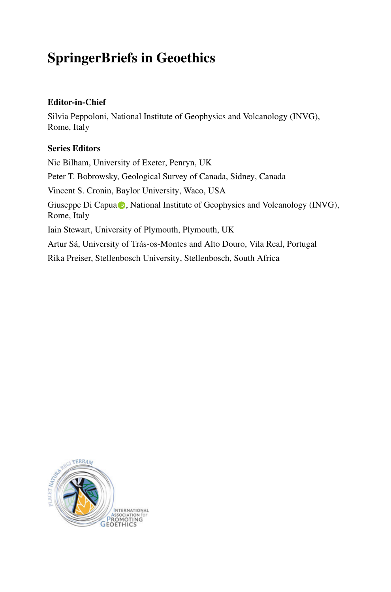# **SpringerBriefs in Geoethics**

#### **Editor-in-Chief**

Silvia Peppoloni, National Institute of Geophysics and Volcanology (INVG), Rome, Italy

#### **Series Editors**

Nic Bilham, University of Exeter, Penryn, UK Peter T. Bobrowsky, Geological Survey of Canada, Sidney, Canada Vincent S. Cronin, Baylor University, Waco, USA Giuseppe Di C[a](https://orcid.org/0000-0002-1254-3200)pua **D**, National Institute of Geophysics and Volcanology (INVG), Rome, Italy Iain Stewart, University of Plymouth, Plymouth, UK Artur Sá, University of Trás-os-Montes and Alto Douro, Vila Real, Portugal Rika Preiser, Stellenbosch University, Stellenbosch, South Africa

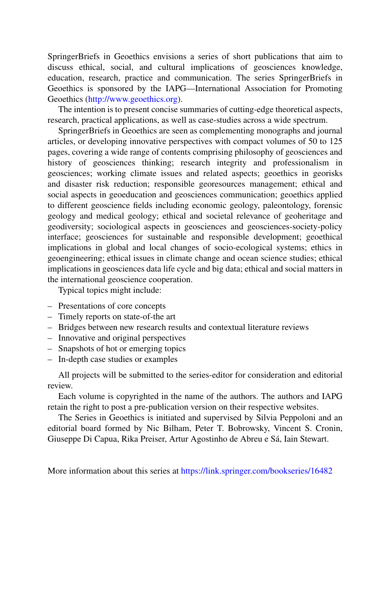SpringerBriefs in Geoethics envisions a series of short publications that aim to discuss ethical, social, and cultural implications of geosciences knowledge, education, research, practice and communication. The series SpringerBriefs in Geoethics is sponsored by the IAPG—International Association for Promoting Geoethics [\(http://www.geoethics.org\)](http://www.geoethics.org).

The intention is to present concise summaries of cutting-edge theoretical aspects, research, practical applications, as well as case-studies across a wide spectrum.

SpringerBriefs in Geoethics are seen as complementing monographs and journal articles, or developing innovative perspectives with compact volumes of 50 to 125 pages, covering a wide range of contents comprising philosophy of geosciences and history of geosciences thinking; research integrity and professionalism in geosciences; working climate issues and related aspects; geoethics in georisks and disaster risk reduction; responsible georesources management; ethical and social aspects in geoeducation and geosciences communication; geoethics applied to different geoscience fields including economic geology, paleontology, forensic geology and medical geology; ethical and societal relevance of geoheritage and geodiversity; sociological aspects in geosciences and geosciences-society-policy interface; geosciences for sustainable and responsible development; geoethical implications in global and local changes of socio-ecological systems; ethics in geoengineering; ethical issues in climate change and ocean science studies; ethical implications in geosciences data life cycle and big data; ethical and social matters in the international geoscience cooperation.

Typical topics might include:

- Presentations of core concepts
- Timely reports on state-of-the art
- Bridges between new research results and contextual literature reviews
- Innovative and original perspectives
- Snapshots of hot or emerging topics
- In-depth case studies or examples

All projects will be submitted to the series-editor for consideration and editorial review.

Each volume is copyrighted in the name of the authors. The authors and IAPG retain the right to post a pre-publication version on their respective websites.

The Series in Geoethics is initiated and supervised by Silvia Peppoloni and an editorial board formed by Nic Bilham, Peter T. Bobrowsky, Vincent S. Cronin, Giuseppe Di Capua, Rika Preiser, Artur Agostinho de Abreu e Sá, Iain Stewart.

More information about this series at <https://link.springer.com/bookseries/16482>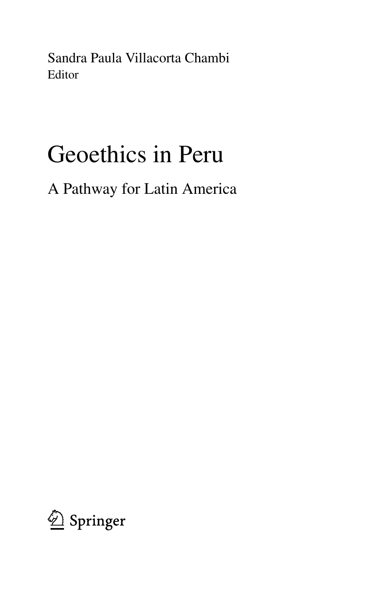Sandra Paula Villacorta Chambi Editor

# Geoethics in Peru

A Pathway for Latin America

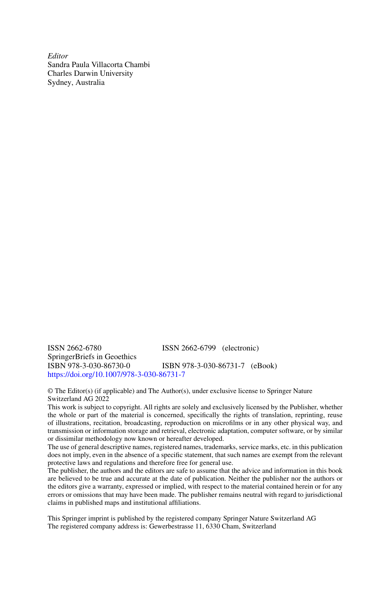*Editor* Sandra Paula Villacorta Chambi Charles Darwin University Sydney, Australia

ISSN 2662-6780 ISSN 2662-6799 (electronic) SpringerBriefs in Geoethics<br>ISBN 978-3-030-86730-0 ISBN 978-3-030-86731-7 (eBook) <https://doi.org/10.1007/978-3-030-86731-7>

© The Editor(s) (if applicable) and The Author(s), under exclusive license to Springer Nature Switzerland AG 2022

This work is subject to copyright. All rights are solely and exclusively licensed by the Publisher, whether the whole or part of the material is concerned, specifically the rights of translation, reprinting, reuse of illustrations, recitation, broadcasting, reproduction on microfilms or in any other physical way, and transmission or information storage and retrieval, electronic adaptation, computer software, or by similar or dissimilar methodology now known or hereafter developed.

The use of general descriptive names, registered names, trademarks, service marks, etc. in this publication does not imply, even in the absence of a specific statement, that such names are exempt from the relevant protective laws and regulations and therefore free for general use.

The publisher, the authors and the editors are safe to assume that the advice and information in this book are believed to be true and accurate at the date of publication. Neither the publisher nor the authors or the editors give a warranty, expressed or implied, with respect to the material contained herein or for any errors or omissions that may have been made. The publisher remains neutral with regard to jurisdictional claims in published maps and institutional affiliations.

This Springer imprint is published by the registered company Springer Nature Switzerland AG The registered company address is: Gewerbestrasse 11, 6330 Cham, Switzerland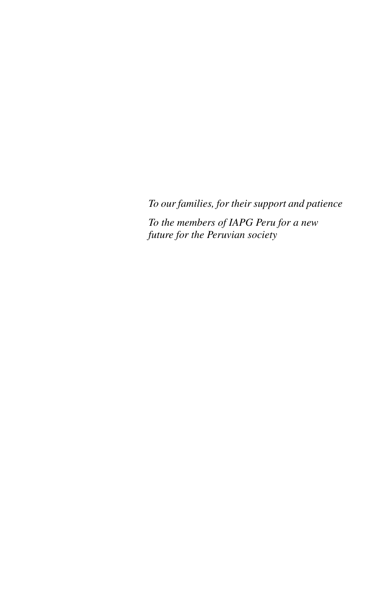*To our families, for their support and patience*

*To the members of IAPG Peru for a new future for the Peruvian society*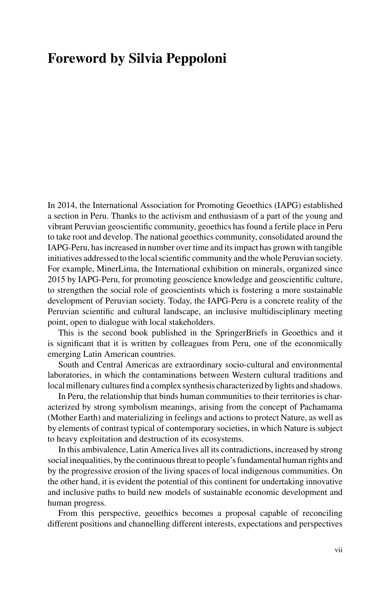### **Foreword by Silvia Peppoloni**

In 2014, the International Association for Promoting Geoethics (IAPG) established a section in Peru. Thanks to the activism and enthusiasm of a part of the young and vibrant Peruvian geoscientific community, geoethics has found a fertile place in Peru to take root and develop. The national geoethics community, consolidated around the IAPG-Peru, has increased in number over time and its impact has grown with tangible initiatives addressed to the local scientific community and the whole Peruvian society. For example, MinerLima, the International exhibition on minerals, organized since 2015 by IAPG-Peru, for promoting geoscience knowledge and geoscientific culture, to strengthen the social role of geoscientists which is fostering a more sustainable development of Peruvian society. Today, the IAPG-Peru is a concrete reality of the Peruvian scientific and cultural landscape, an inclusive multidisciplinary meeting point, open to dialogue with local stakeholders.

This is the second book published in the SpringerBriefs in Geoethics and it is significant that it is written by colleagues from Peru, one of the economically emerging Latin American countries.

South and Central Americas are extraordinary socio-cultural and environmental laboratories, in which the contaminations between Western cultural traditions and local millenary cultures find a complex synthesis characterized by lights and shadows.

In Peru, the relationship that binds human communities to their territories is characterized by strong symbolism meanings, arising from the concept of Pachamama (Mother Earth) and materializing in feelings and actions to protect Nature, as well as by elements of contrast typical of contemporary societies, in which Nature is subject to heavy exploitation and destruction of its ecosystems.

In this ambivalence, Latin America lives all its contradictions, increased by strong social inequalities, by the continuous threat to people's fundamental human rights and by the progressive erosion of the living spaces of local indigenous communities. On the other hand, it is evident the potential of this continent for undertaking innovative and inclusive paths to build new models of sustainable economic development and human progress.

From this perspective, geoethics becomes a proposal capable of reconciling different positions and channelling different interests, expectations and perspectives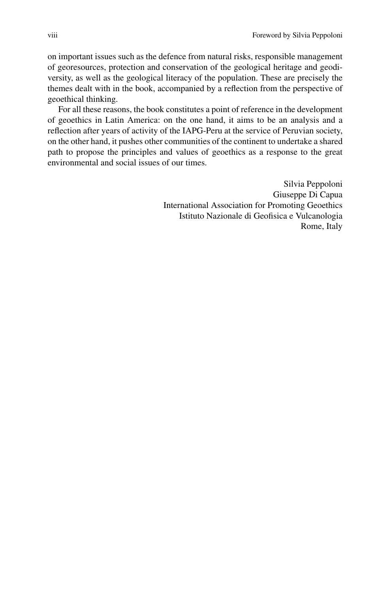on important issues such as the defence from natural risks, responsible management of georesources, protection and conservation of the geological heritage and geodiversity, as well as the geological literacy of the population. These are precisely the themes dealt with in the book, accompanied by a reflection from the perspective of geoethical thinking.

For all these reasons, the book constitutes a point of reference in the development of geoethics in Latin America: on the one hand, it aims to be an analysis and a reflection after years of activity of the IAPG-Peru at the service of Peruvian society, on the other hand, it pushes other communities of the continent to undertake a shared path to propose the principles and values of geoethics as a response to the great environmental and social issues of our times.

> Silvia Peppoloni Giuseppe Di Capua International Association for Promoting Geoethics Istituto Nazionale di Geofisica e Vulcanologia Rome, Italy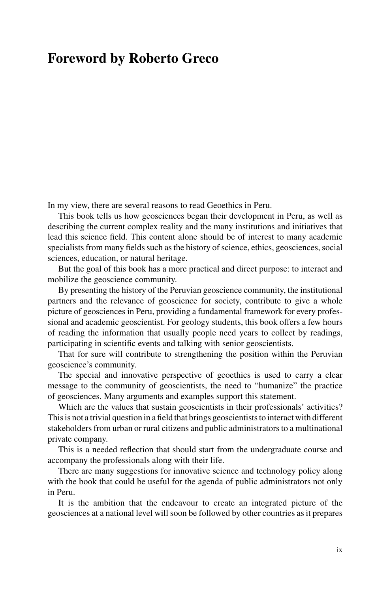### **Foreword by Roberto Greco**

In my view, there are several reasons to read Geoethics in Peru.

This book tells us how geosciences began their development in Peru, as well as describing the current complex reality and the many institutions and initiatives that lead this science field. This content alone should be of interest to many academic specialists from many fields such as the history of science, ethics, geosciences, social sciences, education, or natural heritage.

But the goal of this book has a more practical and direct purpose: to interact and mobilize the geoscience community.

By presenting the history of the Peruvian geoscience community, the institutional partners and the relevance of geoscience for society, contribute to give a whole picture of geosciences in Peru, providing a fundamental framework for every professional and academic geoscientist. For geology students, this book offers a few hours of reading the information that usually people need years to collect by readings, participating in scientific events and talking with senior geoscientists.

That for sure will contribute to strengthening the position within the Peruvian geoscience's community.

The special and innovative perspective of geoethics is used to carry a clear message to the community of geoscientists, the need to "humanize" the practice of geosciences. Many arguments and examples support this statement.

Which are the values that sustain geoscientists in their professionals' activities? This is not a trivial question in a field that brings geoscientists to interact with different stakeholders from urban or rural citizens and public administrators to a multinational private company.

This is a needed reflection that should start from the undergraduate course and accompany the professionals along with their life.

There are many suggestions for innovative science and technology policy along with the book that could be useful for the agenda of public administrators not only in Peru.

It is the ambition that the endeavour to create an integrated picture of the geosciences at a national level will soon be followed by other countries as it prepares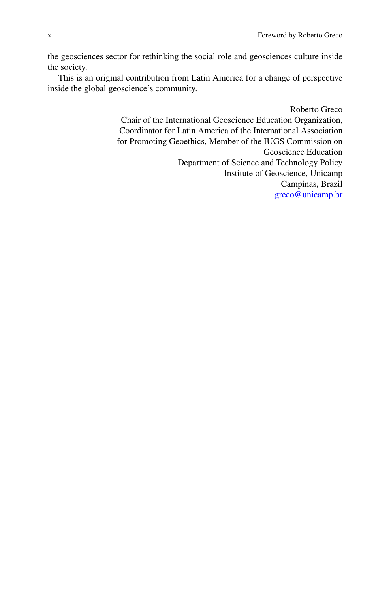the geosciences sector for rethinking the social role and geosciences culture inside the society.

This is an original contribution from Latin America for a change of perspective inside the global geoscience's community.

> Roberto Greco Chair of the International Geoscience Education Organization, Coordinator for Latin America of the International Association for Promoting Geoethics, Member of the IUGS Commission on Geoscience Education Department of Science and Technology Policy Institute of Geoscience, Unicamp Campinas, Brazil [greco@unicamp.br](mailto:greco@unicamp.br)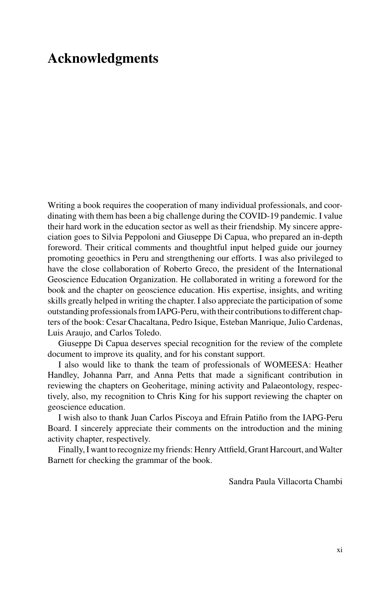### **Acknowledgments**

Writing a book requires the cooperation of many individual professionals, and coordinating with them has been a big challenge during the COVID-19 pandemic. I value their hard work in the education sector as well as their friendship. My sincere appreciation goes to Silvia Peppoloni and Giuseppe Di Capua, who prepared an in-depth foreword. Their critical comments and thoughtful input helped guide our journey promoting geoethics in Peru and strengthening our efforts. I was also privileged to have the close collaboration of Roberto Greco, the president of the International Geoscience Education Organization. He collaborated in writing a foreword for the book and the chapter on geoscience education. His expertise, insights, and writing skills greatly helped in writing the chapter. I also appreciate the participation of some outstanding professionals from IAPG-Peru, with their contributions to different chapters of the book: Cesar Chacaltana, Pedro Isique, Esteban Manrique, Julio Cardenas, Luis Araujo, and Carlos Toledo.

Giuseppe Di Capua deserves special recognition for the review of the complete document to improve its quality, and for his constant support.

I also would like to thank the team of professionals of WOMEESA: Heather Handley, Johanna Parr, and Anna Petts that made a significant contribution in reviewing the chapters on Geoheritage, mining activity and Palaeontology, respectively, also, my recognition to Chris King for his support reviewing the chapter on geoscience education.

I wish also to thank Juan Carlos Piscoya and Efrain Patiño from the IAPG-Peru Board. I sincerely appreciate their comments on the introduction and the mining activity chapter, respectively.

Finally, I want to recognize my friends: Henry Attfield, Grant Harcourt, and Walter Barnett for checking the grammar of the book.

Sandra Paula Villacorta Chambi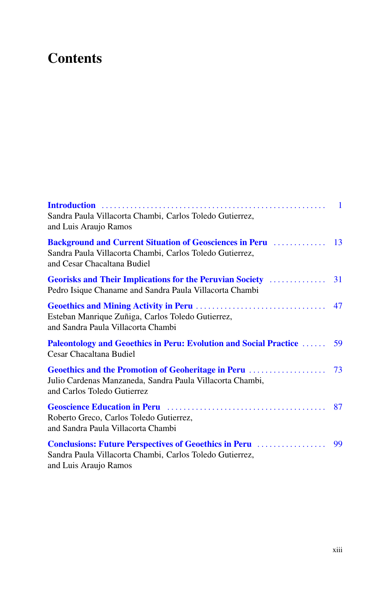### **Contents**

| Sandra Paula Villacorta Chambi, Carlos Toledo Gutierrez,<br>and Luis Araujo Ramos                                                                              |    |
|----------------------------------------------------------------------------------------------------------------------------------------------------------------|----|
| <b>Background and Current Situation of Geosciences in Peru [13]</b><br>Sandra Paula Villacorta Chambi, Carlos Toledo Gutierrez,<br>and Cesar Chacaltana Budiel |    |
| Georisks and Their Implications for the Peruvian Society<br>Pedro Isique Chaname and Sandra Paula Villacorta Chambi                                            | 31 |
| Esteban Manrique Zuñiga, Carlos Toledo Gutierrez,<br>and Sandra Paula Villacorta Chambi                                                                        |    |
| <b>Paleontology and Geoethics in Peru: Evolution and Social Practice </b><br>Cesar Chacaltana Budiel                                                           | 59 |
| Julio Cardenas Manzaneda, Sandra Paula Villacorta Chambi,<br>and Carlos Toledo Gutierrez                                                                       | 73 |
| Roberto Greco, Carlos Toledo Gutierrez,<br>and Sandra Paula Villacorta Chambi                                                                                  | 87 |
| <b>Conclusions: Future Perspectives of Geoethics in Peru </b><br>Sandra Paula Villacorta Chambi, Carlos Toledo Gutierrez,<br>and Luis Araujo Ramos             | 99 |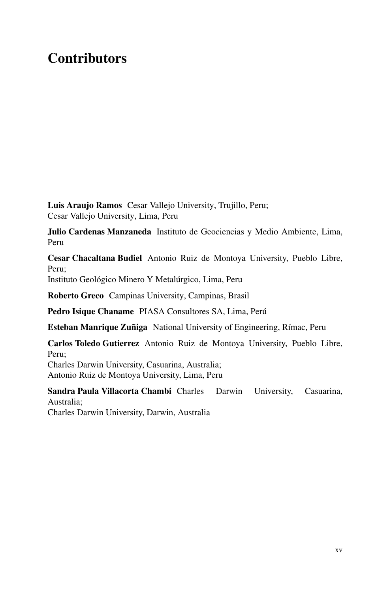### **Contributors**

**Luis Araujo Ramos** Cesar Vallejo University, Trujillo, Peru; Cesar Vallejo University, Lima, Peru

**Julio Cardenas Manzaneda** Instituto de Geociencias y Medio Ambiente, Lima, Peru

**Cesar Chacaltana Budiel** Antonio Ruiz de Montoya University, Pueblo Libre, Peru;

Instituto Geológico Minero Y Metalúrgico, Lima, Peru

**Roberto Greco** Campinas University, Campinas, Brasil

**Pedro Isique Chaname** PIASA Consultores SA, Lima, Perú

**Esteban Manrique Zuñiga** National University of Engineering, Rímac, Peru

**Carlos Toledo Gutierrez** Antonio Ruiz de Montoya University, Pueblo Libre, Peru;

Charles Darwin University, Casuarina, Australia;

Antonio Ruiz de Montoya University, Lima, Peru

**Sandra Paula Villacorta Chambi** Charles Darwin University, Casuarina, Australia;

Charles Darwin University, Darwin, Australia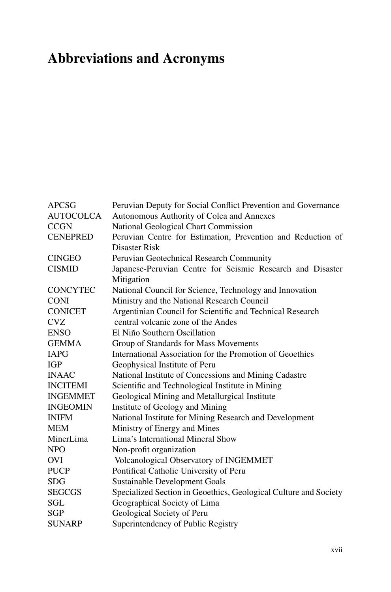# **Abbreviations and Acronyms**

| <b>APCSG</b>     | Peruvian Deputy for Social Conflict Prevention and Governance            |
|------------------|--------------------------------------------------------------------------|
| <b>AUTOCOLCA</b> | Autonomous Authority of Colca and Annexes                                |
| <b>CCGN</b>      | National Geological Chart Commission                                     |
| <b>CENEPRED</b>  | Peruvian Centre for Estimation, Prevention and Reduction of              |
|                  | Disaster Risk                                                            |
| <b>CINGEO</b>    | Peruvian Geotechnical Research Community                                 |
| <b>CISMID</b>    | Japanese-Peruvian Centre for Seismic Research and Disaster<br>Mitigation |
| <b>CONCYTEC</b>  | National Council for Science, Technology and Innovation                  |
| <b>CONI</b>      | Ministry and the National Research Council                               |
| <b>CONICET</b>   | Argentinian Council for Scientific and Technical Research                |
| <b>CVZ</b>       | central volcanic zone of the Andes                                       |
| <b>ENSO</b>      | El Niño Southern Oscillation                                             |
| <b>GEMMA</b>     | Group of Standards for Mass Movements                                    |
| <b>IAPG</b>      | International Association for the Promotion of Geoethics                 |
| IGP              | Geophysical Institute of Peru                                            |
| <b>INAAC</b>     | National Institute of Concessions and Mining Cadastre                    |
| <b>INCITEMI</b>  | Scientific and Technological Institute in Mining                         |
| <b>INGEMMET</b>  | Geological Mining and Metallurgical Institute                            |
| <b>INGEOMIN</b>  | Institute of Geology and Mining                                          |
| <b>INIFM</b>     | National Institute for Mining Research and Development                   |
| <b>MEM</b>       | Ministry of Energy and Mines                                             |
| MinerLima        | Lima's International Mineral Show                                        |
| <b>NPO</b>       | Non-profit organization                                                  |
| <b>OVI</b>       | Volcanological Observatory of INGEMMET                                   |
| <b>PUCP</b>      | Pontifical Catholic University of Peru                                   |
| <b>SDG</b>       | Sustainable Development Goals                                            |
| <b>SEGCGS</b>    | Specialized Section in Geoethics, Geological Culture and Society         |
| SGL              | Geographical Society of Lima                                             |
| <b>SGP</b>       | Geological Society of Peru                                               |
| <b>SUNARP</b>    | Superintendency of Public Registry                                       |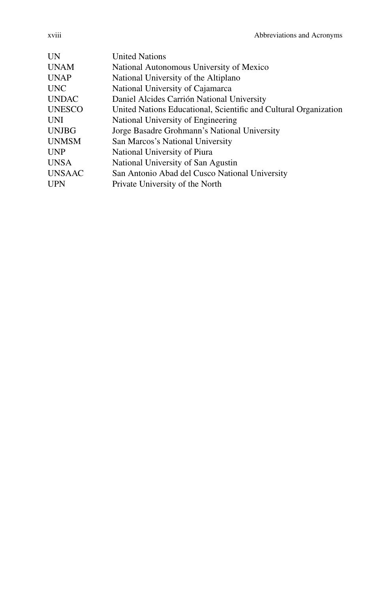| <b>UN</b>     | <b>United Nations</b>                                            |
|---------------|------------------------------------------------------------------|
| <b>UNAM</b>   | National Autonomous University of Mexico                         |
| <b>UNAP</b>   | National University of the Altiplano                             |
| <b>UNC</b>    | National University of Cajamarca                                 |
| <b>UNDAC</b>  | Daniel Alcides Carrión National University                       |
| <b>UNESCO</b> | United Nations Educational, Scientific and Cultural Organization |
| <b>UNI</b>    | National University of Engineering                               |
| <b>UNJBG</b>  | Jorge Basadre Grohmann's National University                     |
| <b>UNMSM</b>  | San Marcos's National University                                 |
| <b>UNP</b>    | National University of Piura                                     |
| <b>UNSA</b>   | National University of San Agustin                               |
| <b>UNSAAC</b> | San Antonio Abad del Cusco National University                   |
| <b>UPN</b>    | Private University of the North                                  |
|               |                                                                  |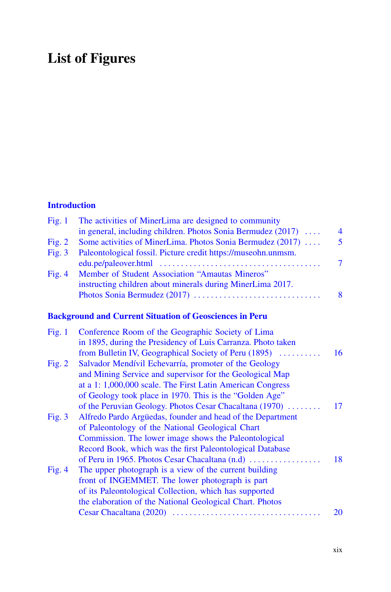# **List of Figures**

### **Introduction**

|          | Fig. 1 The activities of MinerLima are designed to community      |                |
|----------|-------------------------------------------------------------------|----------------|
|          | in general, including children. Photos Sonia Bermudez $(2017)$    | $\overline{4}$ |
|          | Fig. 2 Some activities of MinerLima. Photos Sonia Bermudez (2017) | .5             |
| Fig. $3$ | Paleontological fossil. Picture credit https://museohn.unmsm.     |                |
|          |                                                                   | 7              |
|          | Fig. 4 Member of Student Association "Amautas Mineros"            |                |
|          | instructing children about minerals during MinerLima 2017.        |                |
|          |                                                                   | -8             |

### **Background and Current Situation of Geosciences in Peru**

| Fig. $1$ | Conference Room of the Geographic Society of Lima            |           |
|----------|--------------------------------------------------------------|-----------|
|          | in 1895, during the Presidency of Luis Carranza. Photo taken |           |
|          | from Bulletin IV, Geographical Society of Peru (1895)        | 16        |
| Fig. $2$ | Salvador Mendívil Echevarría, promoter of the Geology        |           |
|          | and Mining Service and supervisor for the Geological Map     |           |
|          | at a 1: 1,000,000 scale. The First Latin American Congress   |           |
|          | of Geology took place in 1970. This is the "Golden Age"      |           |
|          | of the Peruvian Geology. Photos Cesar Chacaltana (1970)      | 17        |
| Fig. $3$ | Alfredo Pardo Argüedas, founder and head of the Department   |           |
|          | of Paleontology of the National Geological Chart             |           |
|          | Commission. The lower image shows the Paleontological        |           |
|          | Record Book, which was the first Paleontological Database    |           |
|          | of Peru in 1965. Photos Cesar Chacaltana (n.d)               | 18        |
| Fig. $4$ | The upper photograph is a view of the current building       |           |
|          | front of INGEMMET. The lower photograph is part              |           |
|          | of its Paleontological Collection, which has supported       |           |
|          | the elaboration of the National Geological Chart. Photos     |           |
|          |                                                              | <b>20</b> |
|          |                                                              |           |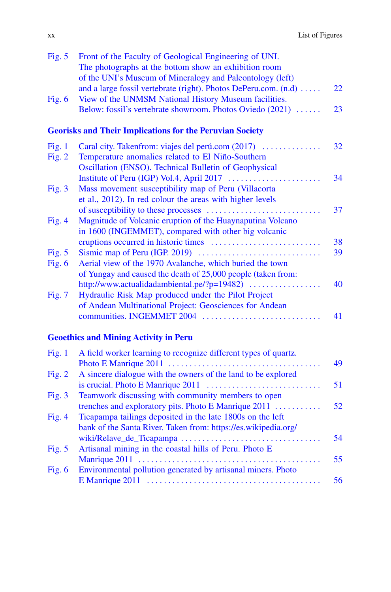| Fig. $5$ | Front of the Faculty of Geological Engineering of UNI.<br>The photographs at the bottom show an exhibition room<br>of the UNI's Museum of Mineralogy and Paleontology (left) |    |
|----------|------------------------------------------------------------------------------------------------------------------------------------------------------------------------------|----|
|          | and a large fossil vertebrate (right). Photos DePeru.com. (n.d)                                                                                                              | 22 |
| Fig. $6$ | View of the UNMSM National History Museum facilities.                                                                                                                        |    |
|          | Below: fossil's vertebrate showroom. Photos Oviedo (2021)                                                                                                                    | 23 |
|          | <b>Georisks and Their Implications for the Peruvian Society</b>                                                                                                              |    |
| Fig. $1$ | Caral city. Takenfrom: viajes del perú.com (2017)                                                                                                                            | 32 |
| Fig. $2$ | Temperature anomalies related to El Niño-Southern                                                                                                                            |    |
|          | Oscillation (ENSO). Technical Bulletin of Geophysical                                                                                                                        |    |
|          |                                                                                                                                                                              | 34 |
| Fig. $3$ | Mass movement susceptibility map of Peru (Villacorta                                                                                                                         |    |
|          | et al., 2012). In red colour the areas with higher levels                                                                                                                    |    |
|          |                                                                                                                                                                              | 37 |
| Fig. $4$ | Magnitude of Volcanic eruption of the Huaynaputina Volcano                                                                                                                   |    |
|          | in 1600 (INGEMMET), compared with other big volcanic                                                                                                                         |    |
|          |                                                                                                                                                                              | 38 |
| Fig. $5$ |                                                                                                                                                                              | 39 |
| Fig. $6$ | Aerial view of the 1970 Avalanche, which buried the town                                                                                                                     |    |
|          | of Yungay and caused the death of 25,000 people (taken from:                                                                                                                 |    |
|          | http://www.actualidadambiental.pe/?p=19482)                                                                                                                                  | 40 |
| Fig. $7$ | Hydraulic Risk Map produced under the Pilot Project                                                                                                                          |    |
|          | of Andean Multinational Project: Geosciences for Andean                                                                                                                      |    |
|          | communities. INGEMMET 2004                                                                                                                                                   | 41 |

### **Geoethics and Mining Activity in Peru**

| Fig. $1$ | A field worker learning to recognize different types of quartz. |    |
|----------|-----------------------------------------------------------------|----|
|          |                                                                 | 49 |
| Fig. $2$ | A sincere dialogue with the owners of the land to be explored   |    |
|          |                                                                 | 51 |
| Fig. $3$ | Teamwork discussing with community members to open              |    |
|          | trenches and exploratory pits. Photo E Manrique 2011            | 52 |
| Fig. $4$ | Ticapampa tailings deposited in the late 1800s on the left      |    |
|          | bank of the Santa River. Taken from: https://es.wikipedia.org/  |    |
|          |                                                                 | 54 |
| Fig. $5$ | Artisanal mining in the coastal hills of Peru. Photo E          |    |
|          |                                                                 | 55 |
| Fig. $6$ | Environmental pollution generated by artisanal miners. Photo    |    |
|          |                                                                 | 56 |
|          |                                                                 |    |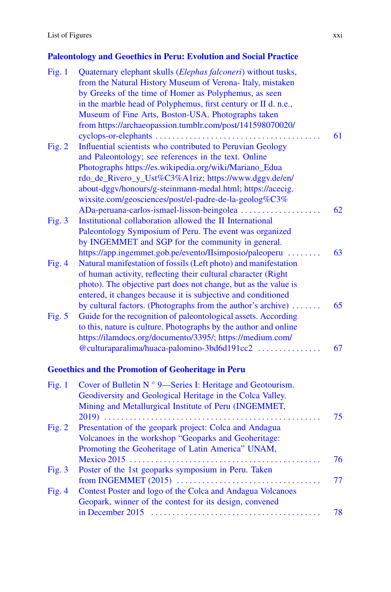### **Paleontology and Geoethics in Peru: Evolution and Social Practice**

| Fig. $1$ | Quaternary elephant skulls (Elephas falconeri) without tusks,<br>from the Natural History Museum of Verona- Italy, mistaken<br>by Greeks of the time of Homer as Polyphemus, as seen<br>in the marble head of Polyphemus, first century or II d. n.e.,<br>Museum of Fine Arts, Boston-USA. Photographs taken<br>from https://archaeopassion.tumblr.com/post/141598070020/<br>cyclops-or-elephants           | 61       |
|----------|-------------------------------------------------------------------------------------------------------------------------------------------------------------------------------------------------------------------------------------------------------------------------------------------------------------------------------------------------------------------------------------------------------------|----------|
| Fig. 2   | Influential scientists who contributed to Peruvian Geology<br>and Paleontology; see references in the text. Online<br>Photographs https://es.wikipedia.org/wiki/Mariano_Edua<br>rdo_de_Rivero_y_Ust%C3%A1riz; https://www.dggv.de/en/<br>about-dggv/honours/g-steinmann-medal.html; https://acecig.<br>wixsite.com/geosciences/post/el-padre-de-la-geolog%C3%<br>ADa-peruana-carlos-ismael-lisson-beingolea | 62       |
| Fig. $3$ | Institutional collaboration allowed the II International<br>Paleontology Symposium of Peru. The event was organized<br>by INGEMMET and SGP for the community in general.<br>https://app.ingemmet.gob.pe/evento/IIsimposio/paleoperu                                                                                                                                                                         | 63       |
| Fig. 4   | Natural manifestation of fossils (Left photo) and manifestation<br>of human activity, reflecting their cultural character (Right<br>photo). The objective part does not change, but as the value is<br>entered, it changes because it is subjective and conditioned                                                                                                                                         |          |
| Fig. $5$ | by cultural factors. (Photographs from the author's archive)<br>Guide for the recognition of paleontological assets. According<br>to this, nature is culture. Photographs by the author and online<br>https://ilamdocs.org/documento/3395/; https://medium.com/<br>@culturaparalima/huaca-palomino-3bd6d191cc2                                                                                              | 65<br>67 |
|          | <b>Geoethics and the Promotion of Geoheritage in Peru</b>                                                                                                                                                                                                                                                                                                                                                   |          |
| Fig. $1$ | Cover of Bulletin $N^{\circ}$ 9—Series I: Heritage and Geotourism.<br>Geodiversity and Geological Heritage in the Colca Valley.<br>Mining and Metallurgical Institute of Peru (INGEMMET,                                                                                                                                                                                                                    |          |
| Fig. 2   | Presentation of the geopark project: Colca and Andagua<br>Volcanoes in the workshop "Geoparks and Geoheritage:<br>Promoting the Geoheritage of Latin America" UNAM,                                                                                                                                                                                                                                         | 75       |
| Fig. $3$ | Mexico 2015<br>Poster of the 1st geoparks symposium in Peru. Taken                                                                                                                                                                                                                                                                                                                                          | 76<br>77 |
| Fig. $4$ | Contest Poster and logo of the Colca and Andagua Volcanoes<br>Geopark, winner of the contest for its design, convened                                                                                                                                                                                                                                                                                       |          |
|          |                                                                                                                                                                                                                                                                                                                                                                                                             | 78       |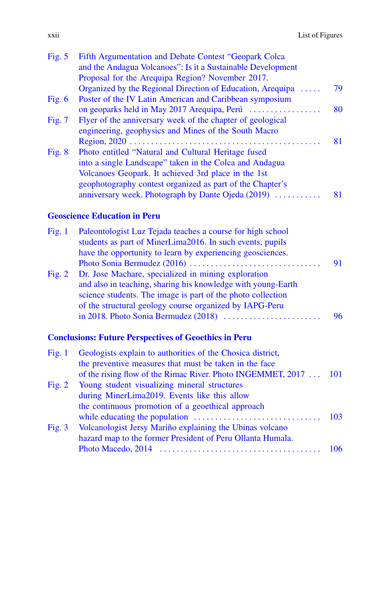| Fig. $5$ | Fifth Argumentation and Debate Contest "Geopark Colca"      |    |
|----------|-------------------------------------------------------------|----|
|          | and the Andagua Volcanoes": Is it a Sustainable Development |    |
|          | Proposal for the Arequipa Region? November 2017.            |    |
|          | Organized by the Regional Direction of Education, Arequipa  | 79 |
| Fig. $6$ | Poster of the IV Latin American and Caribbean symposium     |    |
|          | on geoparks held in May 2017 Arequipa, Perú                 | 80 |
| Fig. $7$ | Flyer of the anniversary week of the chapter of geological  |    |
|          | engineering, geophysics and Mines of the South Macro        |    |
|          |                                                             | 81 |
| Fig. $8$ | Photo entitled "Natural and Cultural Heritage fused         |    |
|          | into a single Landscape" taken in the Colca and Andagua     |    |
|          | Volcanoes Geopark. It achieved 3rd place in the 1st         |    |
|          | geophotography contest organized as part of the Chapter's   |    |
|          | anniversary week. Photograph by Dante Ojeda $(2019)$        | 81 |
|          |                                                             |    |

### **Geoscience Education in Peru**

| Fig. $1$ | Paleontologist Luz Tejada teaches a course for high school   |    |
|----------|--------------------------------------------------------------|----|
|          | students as part of MinerLima2016. In such events, pupils    |    |
|          | have the opportunity to learn by experiencing geosciences.   |    |
|          |                                                              | 91 |
| Fig. $2$ | Dr. Jose Machare, specialized in mining exploration          |    |
|          | and also in teaching, sharing his knowledge with young-Earth |    |
|          | science students. The image is part of the photo collection  |    |
|          | of the structural geology course organized by IAPG-Peru      |    |
|          |                                                              | 96 |
|          |                                                              |    |

### **Conclusions: Future Perspectives of Geoethics in Peru**

| Fig. $1$ | Geologists explain to authorities of the Chosica district,       |     |
|----------|------------------------------------------------------------------|-----|
|          | the preventive measures that must be taken in the face           |     |
|          | of the rising flow of the Rimac River. Photo INGEMMET, 2017  101 |     |
| Fig. $2$ | Young student visualizing mineral structures                     |     |
|          | during MinerLima2019. Events like this allow                     |     |
|          | the continuous promotion of a geoethical approach                |     |
|          |                                                                  |     |
| Fig. $3$ | Volcanologist Jersy Mariño explaining the Ubinas volcano         |     |
|          | hazard map to the former President of Peru Ollanta Humala.       |     |
|          |                                                                  | 106 |
|          |                                                                  |     |